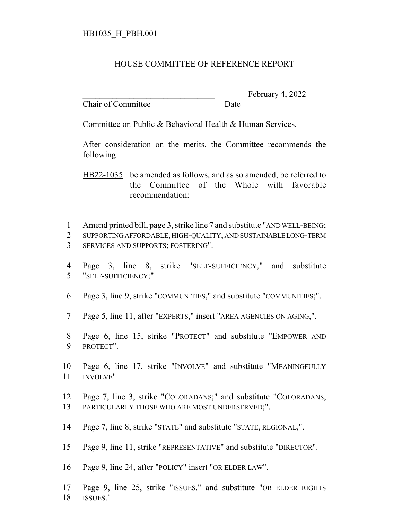## HB1035\_H\_PBH.001

## HOUSE COMMITTEE OF REFERENCE REPORT

Chair of Committee Date

February 4, 2022

Committee on Public & Behavioral Health & Human Services.

After consideration on the merits, the Committee recommends the following:

HB22-1035 be amended as follows, and as so amended, be referred to the Committee of the Whole with favorable recommendation:

Amend printed bill, page 3, strike line 7 and substitute "AND WELL-BEING;

- SUPPORTING AFFORDABLE, HIGH-QUALITY, AND SUSTAINABLE LONG-TERM SERVICES AND SUPPORTS; FOSTERING".
- Page 3, line 8, strike "SELF-SUFFICIENCY," and substitute "SELF-SUFFICIENCY;".
- Page 3, line 9, strike "COMMUNITIES," and substitute "COMMUNITIES;".
- Page 5, line 11, after "EXPERTS," insert "AREA AGENCIES ON AGING,".
- Page 6, line 15, strike "PROTECT" and substitute "EMPOWER AND PROTECT".
- Page 6, line 17, strike "INVOLVE" and substitute "MEANINGFULLY INVOLVE".
- Page 7, line 3, strike "COLORADANS;" and substitute "COLORADANS, PARTICULARLY THOSE WHO ARE MOST UNDERSERVED;".
- Page 7, line 8, strike "STATE" and substitute "STATE, REGIONAL,".
- Page 9, line 11, strike "REPRESENTATIVE" and substitute "DIRECTOR".
- Page 9, line 24, after "POLICY" insert "OR ELDER LAW".
- Page 9, line 25, strike "ISSUES." and substitute "OR ELDER RIGHTS 18 ISSUES.".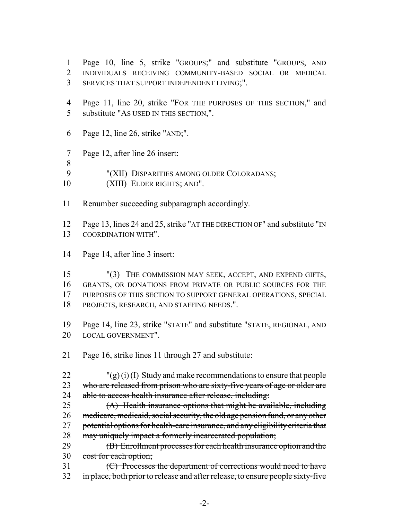- Page 10, line 5, strike "GROUPS;" and substitute "GROUPS, AND INDIVIDUALS RECEIVING COMMUNITY-BASED SOCIAL OR MEDICAL SERVICES THAT SUPPORT INDEPENDENT LIVING;".
- Page 11, line 20, strike "FOR THE PURPOSES OF THIS SECTION," and substitute "AS USED IN THIS SECTION,".
- Page 12, line 26, strike "AND;".
- Page 12, after line 26 insert:
- 
- "(XII) DISPARITIES AMONG OLDER COLORADANS;
- (XIII) ELDER RIGHTS; AND".
- Renumber succeeding subparagraph accordingly.

 Page 13, lines 24 and 25, strike "AT THE DIRECTION OF" and substitute "IN COORDINATION WITH".

Page 14, after line 3 insert:

 "(3) THE COMMISSION MAY SEEK, ACCEPT, AND EXPEND GIFTS, GRANTS, OR DONATIONS FROM PRIVATE OR PUBLIC SOURCES FOR THE PURPOSES OF THIS SECTION TO SUPPORT GENERAL OPERATIONS, SPECIAL PROJECTS, RESEARCH, AND STAFFING NEEDS.".

 Page 14, line 23, strike "STATE" and substitute "STATE, REGIONAL, AND LOCAL GOVERNMENT".

Page 16, strike lines 11 through 27 and substitute:

22  $\frac{y}{(g)(i)(l)}$  Study and make recommendations to ensure that people 23 who are released from prison who are sixty-five years of age or older are 24 able to access health insurance after release, including:

 (A) Health insurance options that might be available, including medicare, medicaid, social security, the old age pension fund, or any other 27 potential options for health-care insurance, and any eligibility criteria that 28 may uniquely impact a formerly incarcerated population;

**(B)** Enrollment processes for each health insurance option and the 30 cost for each option;

 (C) Processes the department of corrections would need to have 32 in place, both prior to release and after release, to ensure people sixty-five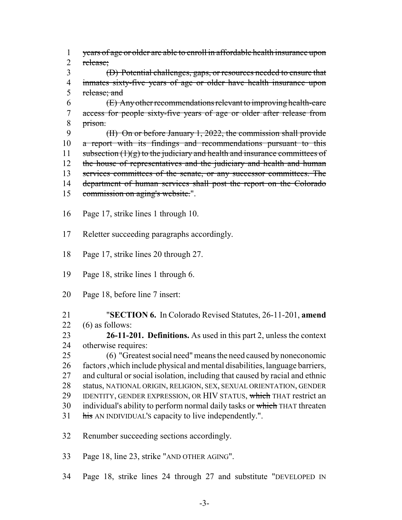years of age or older are able to enroll in affordable health insurance upon release;

 (D) Potential challenges, gaps, or resources needed to ensure that inmates sixty-five years of age or older have health insurance upon 5 release; and

 $6 \left( \frac{E}{E} \right)$  Any other recommendations relevant to improving health-care access for people sixty-five years of age or older after release from prison.

 (II) On or before January 1, 2022, the commission shall provide 10 a report with its findings and recommendations pursuant to this 11 subsection  $(1)(g)$  to the judiciary and health and insurance committees of 12 the house of representatives and the judiciary and health and human services committees of the senate, or any successor committees. The 14 department of human services shall post the report on the Colorado 15 commission on aging's website.".

Page 17, strike lines 1 through 10.

Reletter succeeding paragraphs accordingly.

Page 17, strike lines 20 through 27.

Page 18, strike lines 1 through 6.

Page 18, before line 7 insert:

 "**SECTION 6.** In Colorado Revised Statutes, 26-11-201, **amend** (6) as follows:

 **26-11-201. Definitions.** As used in this part 2, unless the context otherwise requires:

 (6) "Greatest social need" means the need caused by noneconomic factors ,which include physical and mental disabilities, language barriers, and cultural or social isolation, including that caused by racial and ethnic status, NATIONAL ORIGIN, RELIGION, SEX, SEXUAL ORIENTATION, GENDER 29 IDENTITY, GENDER EXPRESSION, OR HIV STATUS, which THAT restrict an 30 individual's ability to perform normal daily tasks or which THAT threaten 31 his AN INDIVIDUAL'S capacity to live independently.".

Renumber succeeding sections accordingly.

Page 18, line 23, strike "AND OTHER AGING".

Page 18, strike lines 24 through 27 and substitute "DEVELOPED IN